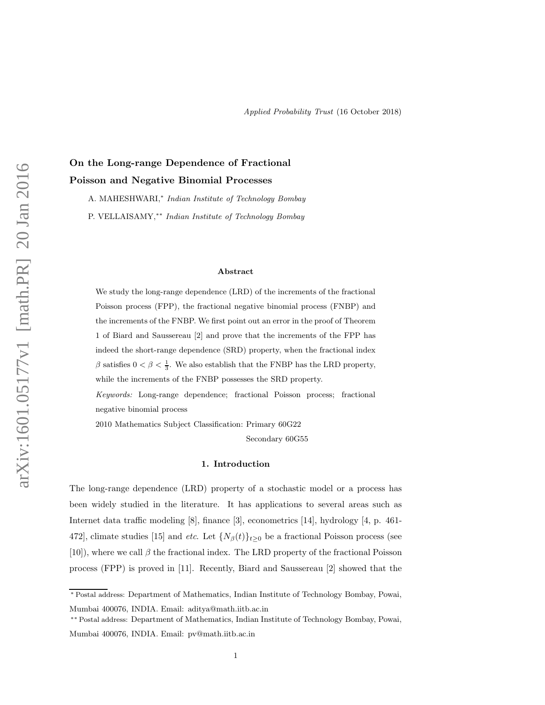On the Long-range Dependence of Fractional Poisson and Negative Binomial Processes A. MAHESHWARI,<sup>∗</sup> Indian Institute of Technology Bombay P. VELLAISAMY,∗∗ Indian Institute of Technology Bombay

#### Abstract

We study the long-range dependence (LRD) of the increments of the fractional Poisson process (FPP), the fractional negative binomial process (FNBP) and the increments of the FNBP. We first point out an error in the proof of Theorem 1 of Biard and Saussereau [2] and prove that the increments of the FPP has indeed the short-range dependence (SRD) property, when the fractional index  $\beta$  satisfies  $0 < \beta < \frac{1}{3}$ . We also establish that the FNBP has the LRD property, while the increments of the FNBP possesses the SRD property.

Keywords: Long-range dependence; fractional Poisson process; fractional negative binomial process

2010 Mathematics Subject Classification: Primary 60G22

Secondary 60G55

Applied Probability Trust (16 October 2018)

#### 1. Introduction

The long-range dependence (LRD) property of a stochastic model or a process has been widely studied in the literature. It has applications to several areas such as Internet data traffic modeling [8], finance [3], econometrics [14], hydrology [4, p. 461- 472], climate studies [15] and *etc.* Let  $\{N_\beta(t)\}_{t\geq 0}$  be a fractional Poisson process (see [10]), where we call  $\beta$  the fractional index. The LRD property of the fractional Poisson process (FPP) is proved in [11]. Recently, Biard and Saussereau [2] showed that the

<sup>∗</sup> Postal address: Department of Mathematics, Indian Institute of Technology Bombay, Powai, Mumbai 400076, INDIA. Email: aditya@math.iitb.ac.in

<sup>∗∗</sup> Postal address: Department of Mathematics, Indian Institute of Technology Bombay, Powai, Mumbai 400076, INDIA. Email: pv@math.iitb.ac.in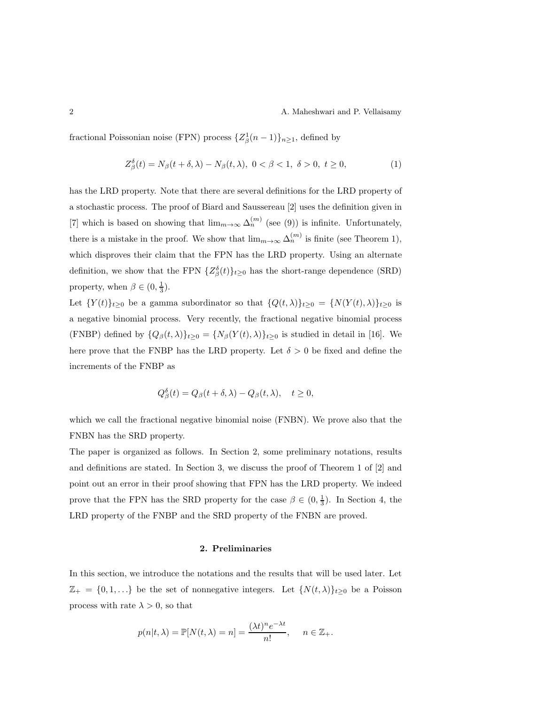fractional Poissonian noise (FPN) process  $\{Z_{\beta}^1(n-1)\}_{n\geq 1}$ , defined by

$$
Z^{\delta}_{\beta}(t) = N_{\beta}(t + \delta, \lambda) - N_{\beta}(t, \lambda), \ 0 < \beta < 1, \ \delta > 0, \ t \ge 0,\tag{1}
$$

has the LRD property. Note that there are several definitions for the LRD property of a stochastic process. The proof of Biard and Saussereau [2] uses the definition given in [7] which is based on showing that  $\lim_{m\to\infty} \Delta_n^{(m)}$  (see (9)) is infinite. Unfortunately, there is a mistake in the proof. We show that  $\lim_{m\to\infty} \Delta_n^{(m)}$  is finite (see Theorem 1), which disproves their claim that the FPN has the LRD property. Using an alternate definition, we show that the FPN  $\{Z_{\beta}^{\delta}(t)\}_{t\geq0}$  has the short-range dependence (SRD) property, when  $\beta \in (0, \frac{1}{3})$ .

Let  $\{Y(t)\}_{t\geq 0}$  be a gamma subordinator so that  $\{Q(t,\lambda)\}_{t\geq 0} = \{N(Y(t),\lambda)\}_{t\geq 0}$  is a negative binomial process. Very recently, the fractional negative binomial process (FNBP) defined by  $\{Q_{\beta}(t,\lambda)\}_{t\geq0} = \{N_{\beta}(Y(t),\lambda)\}_{t\geq0}$  is studied in detail in [16]. We here prove that the FNBP has the LRD property. Let  $\delta > 0$  be fixed and define the increments of the FNBP as

$$
Q_{\beta}^{\delta}(t) = Q_{\beta}(t+\delta,\lambda) - Q_{\beta}(t,\lambda), \quad t \ge 0,
$$

which we call the fractional negative binomial noise (FNBN). We prove also that the FNBN has the SRD property.

The paper is organized as follows. In Section 2, some preliminary notations, results and definitions are stated. In Section 3, we discuss the proof of Theorem 1 of [2] and point out an error in their proof showing that FPN has the LRD property. We indeed prove that the FPN has the SRD property for the case  $\beta \in (0, \frac{1}{3})$ . In Section 4, the LRD property of the FNBP and the SRD property of the FNBN are proved.

# 2. Preliminaries

In this section, we introduce the notations and the results that will be used later. Let  $\mathbb{Z}_+ = \{0, 1, \ldots\}$  be the set of nonnegative integers. Let  $\{N(t, \lambda)\}_{t \geq 0}$  be a Poisson process with rate  $\lambda > 0$ , so that

$$
p(n|t,\lambda) = \mathbb{P}[N(t,\lambda) = n] = \frac{(\lambda t)^n e^{-\lambda t}}{n!}, \quad n \in \mathbb{Z}_+.
$$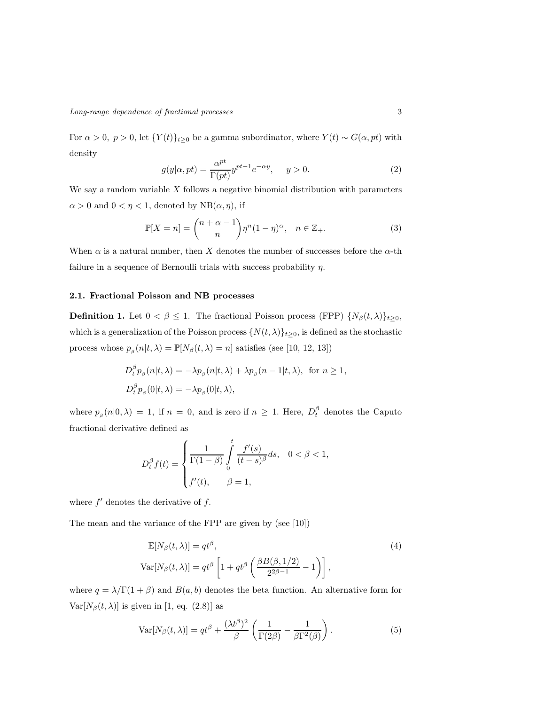For  $\alpha > 0$ ,  $p > 0$ , let  $\{Y(t)\}_{t\geq 0}$  be a gamma subordinator, where  $Y(t) \sim G(\alpha, pt)$  with density

$$
g(y|\alpha, pt) = \frac{\alpha^{pt}}{\Gamma(pt)} y^{pt-1} e^{-\alpha y}, \quad y > 0.
$$
 (2)

We say a random variable  $X$  follows a negative binomial distribution with parameters  $\alpha > 0$  and  $0 < \eta < 1$ , denoted by NB( $\alpha, \eta$ ), if

$$
\mathbb{P}[X=n] = \binom{n+\alpha-1}{n} \eta^n (1-\eta)^{\alpha}, \quad n \in \mathbb{Z}_+.
$$
 (3)

When  $\alpha$  is a natural number, then X denotes the number of successes before the  $\alpha$ -th failure in a sequence of Bernoulli trials with success probability  $\eta$ .

#### 2.1. Fractional Poisson and NB processes

**Definition 1.** Let  $0 < \beta \leq 1$ . The fractional Poisson process (FPP)  $\{N_{\beta}(t,\lambda)\}_{t\geq 0}$ , which is a generalization of the Poisson process  $\{N(t,\lambda)\}_{t\geq0}$ , is defined as the stochastic process whose  $p_{\beta}(n|t,\lambda) = \mathbb{P}[N_{\beta}(t,\lambda) = n]$  satisfies (see [10, 12, 13])

$$
D_t^{\beta} p_{\beta}(n|t,\lambda) = -\lambda p_{\beta}(n|t,\lambda) + \lambda p_{\beta}(n-1|t,\lambda), \text{ for } n \ge 1,
$$
  

$$
D_t^{\beta} p_{\beta}(0|t,\lambda) = -\lambda p_{\beta}(0|t,\lambda),
$$

where  $p_{\beta}(n|0,\lambda) = 1$ , if  $n = 0$ , and is zero if  $n \geq 1$ . Here,  $D_t^{\beta}$  denotes the Caputo fractional derivative defined as

$$
D_t^{\beta} f(t) = \begin{cases} \frac{1}{\Gamma(1-\beta)} \int_0^t \frac{f'(s)}{(t-s)^{\beta}} ds, & 0 < \beta < 1, \\ f'(t), & \beta = 1, \end{cases}
$$

where  $f'$  denotes the derivative of  $f$ .

The mean and the variance of the FPP are given by (see [10])

$$
\mathbb{E}[N_{\beta}(t,\lambda)] = qt^{\beta},
$$
\n
$$
\text{Var}[N_{\beta}(t,\lambda)] = qt^{\beta} \left[1 + qt^{\beta} \left(\frac{\beta B(\beta,1/2)}{2^{2\beta-1}} - 1\right)\right],
$$
\n(4)

where  $q = \lambda/\Gamma(1+\beta)$  and  $B(a, b)$  denotes the beta function. An alternative form for Var $[N_\beta(t,\lambda)]$  is given in [1, eq. (2.8)] as

$$
\text{Var}[N_{\beta}(t,\lambda)] = qt^{\beta} + \frac{(\lambda t^{\beta})^2}{\beta} \left(\frac{1}{\Gamma(2\beta)} - \frac{1}{\beta \Gamma^2(\beta)}\right). \tag{5}
$$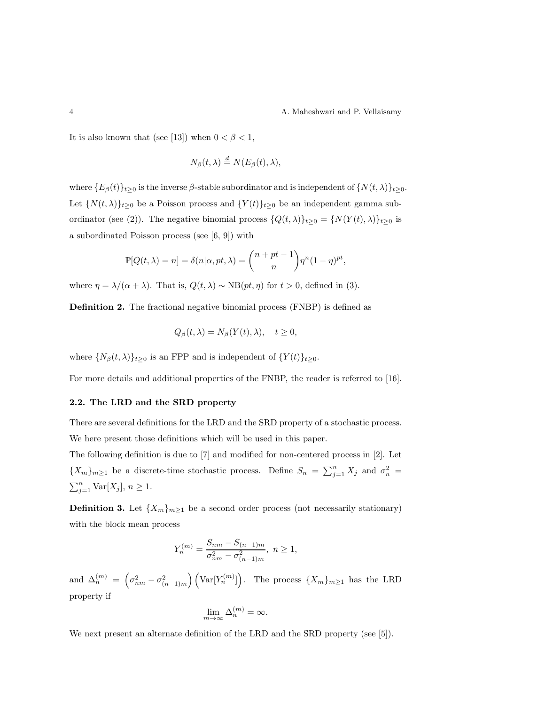It is also known that (see [13]) when  $0 < \beta < 1$ ,

$$
N_{\beta}(t,\lambda)\overset{d}{=}N(E_{\beta}(t),\lambda),
$$

where  ${E_\beta(t)}_{t\geq0}$  is the inverse  $\beta$ -stable subordinator and is independent of  $\{N(t,\lambda)\}_{t\geq0}$ . Let  $\{N(t,\lambda)\}_{t\geq0}$  be a Poisson process and  $\{Y(t)\}_{t\geq0}$  be an independent gamma subordinator (see (2)). The negative binomial process  $\{Q(t,\lambda)\}_{t\geq 0} = \{N(Y(t),\lambda)\}_{t\geq 0}$  is a subordinated Poisson process (see [6, 9]) with

$$
\mathbb{P}[Q(t,\lambda)=n]=\delta(n|\alpha, pt, \lambda)=\binom{n+pt-1}{n}\eta^n(1-\eta)^{pt},
$$

where  $\eta = \lambda/(\alpha + \lambda)$ . That is,  $Q(t, \lambda) \sim NB(pt, \eta)$  for  $t > 0$ , defined in (3).

Definition 2. The fractional negative binomial process (FNBP) is defined as

$$
Q_{\beta}(t,\lambda) = N_{\beta}(Y(t),\lambda), \quad t \ge 0,
$$

where  $\{N_\beta(t,\lambda)\}_{t\geq 0}$  is an FPP and is independent of  $\{Y(t)\}_{t\geq 0}$ .

For more details and additional properties of the FNBP, the reader is referred to [16].

## 2.2. The LRD and the SRD property

There are several definitions for the LRD and the SRD property of a stochastic process. We here present those definitions which will be used in this paper.

The following definition is due to [7] and modified for non-centered process in [2]. Let  ${X_m}_{m\geq 1}$  be a discrete-time stochastic process. Define  $S_n = \sum_{j=1}^n X_j$  and  $\sigma_n^2 =$  $\sum_{j=1}^{n} \text{Var}[X_j], n \geq 1.$ 

**Definition 3.** Let  $\{X_m\}_{m\geq 1}$  be a second order process (not necessarily stationary) with the block mean process

$$
Y_n^{(m)} = \frac{S_{nm} - S_{(n-1)m}}{\sigma_{nm}^2 - \sigma_{(n-1)m}^2}, \ n \ge 1,
$$

and  $\Delta_n^{(m)} = \left(\sigma_{nm}^2 - \sigma_{(n-1)m}^2\right) \left(\text{Var}[Y_n^{(m)}]\right)$ . The process  $\{X_m\}_{m\geq 1}$  has the LRD property if

$$
\lim_{m \to \infty} \Delta_n^{(m)} = \infty.
$$

We next present an alternate definition of the LRD and the SRD property (see [5]).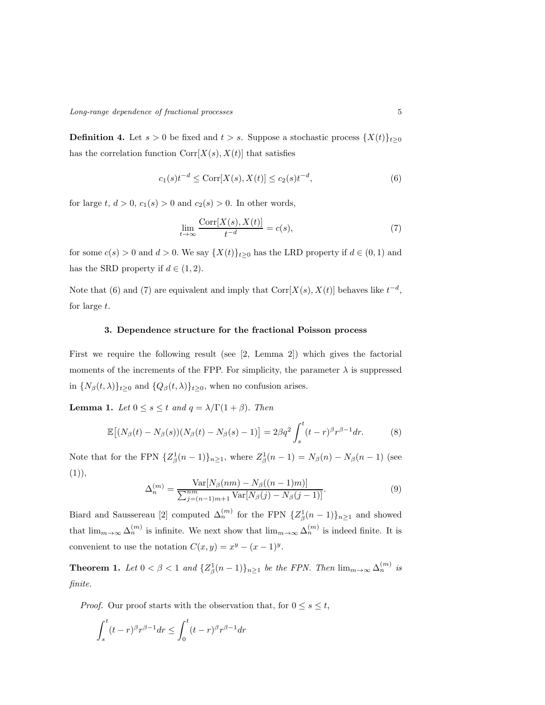**Definition 4.** Let  $s > 0$  be fixed and  $t > s$ . Suppose a stochastic process  $\{X(t)\}_{t\geq 0}$ has the correlation function  $Corr[X(s), X(t)]$  that satisfies

$$
c_1(s)t^{-d} \le \text{Corr}[X(s), X(t)] \le c_2(s)t^{-d},\tag{6}
$$

for large t,  $d > 0$ ,  $c_1(s) > 0$  and  $c_2(s) > 0$ . In other words,

$$
\lim_{t \to \infty} \frac{\text{Corr}[X(s), X(t)]}{t^{-d}} = c(s),\tag{7}
$$

for some  $c(s) > 0$  and  $d > 0$ . We say  $\{X(t)\}_{t\geq 0}$  has the LRD property if  $d \in (0,1)$  and has the SRD property if  $d \in (1, 2)$ .

Note that (6) and (7) are equivalent and imply that  $Corr[X(s), X(t)]$  behaves like  $t^{-d}$ , for large t.

## 3. Dependence structure for the fractional Poisson process

First we require the following result (see [2, Lemma 2]) which gives the factorial moments of the increments of the FPP. For simplicity, the parameter  $\lambda$  is suppressed in  $\{N_\beta(t,\lambda)\}_{t\geq 0}$  and  $\{Q_\beta(t,\lambda)\}_{t\geq 0}$ , when no confusion arises.

**Lemma 1.** Let  $0 \leq s \leq t$  and  $q = \lambda/\Gamma(1+\beta)$ . Then

$$
\mathbb{E}\left[(N_{\beta}(t)-N_{\beta}(s))(N_{\beta}(t)-N_{\beta}(s)-1)\right]=2\beta q^2\int_s^t (t-r)^{\beta}r^{\beta-1}dr.\tag{8}
$$

Note that for the FPN  $\{Z_{\beta}^1(n-1)\}_{n\geq 1}$ , where  $Z_{\beta}^1(n-1) = N_{\beta}(n) - N_{\beta}(n-1)$  (see  $(1)),$ 

$$
\Delta_n^{(m)} = \frac{\text{Var}[N_\beta(nm) - N_\beta((n-1)m)]}{\sum_{j=(n-1)m+1}^{nm} \text{Var}[N_\beta(j) - N_\beta(j-1)]}.
$$
\n(9)

Biard and Saussereau [2] computed  $\Delta_n^{(m)}$  for the FPN  $\{Z_\beta^1(n-1)\}_{n\geq 1}$  and showed that  $\lim_{m\to\infty}\Delta_n^{(m)}$  is infinite. We next show that  $\lim_{m\to\infty}\Delta_n^{(m)}$  is indeed finite. It is convenient to use the notation  $C(x, y) = x^y - (x - 1)^y$ .

**Theorem 1.** Let  $0 < \beta < 1$  and  $\{Z_{\beta}^1(n-1)\}_{n \geq 1}$  be the FPN. Then  $\lim_{m \to \infty} \Delta_n^{(m)}$  is finite.

*Proof.* Our proof starts with the observation that, for  $0 \leq s \leq t$ ,

$$
\int_{s}^{t} (t-r)^{\beta} r^{\beta-1} dr \le \int_{0}^{t} (t-r)^{\beta} r^{\beta-1} dr
$$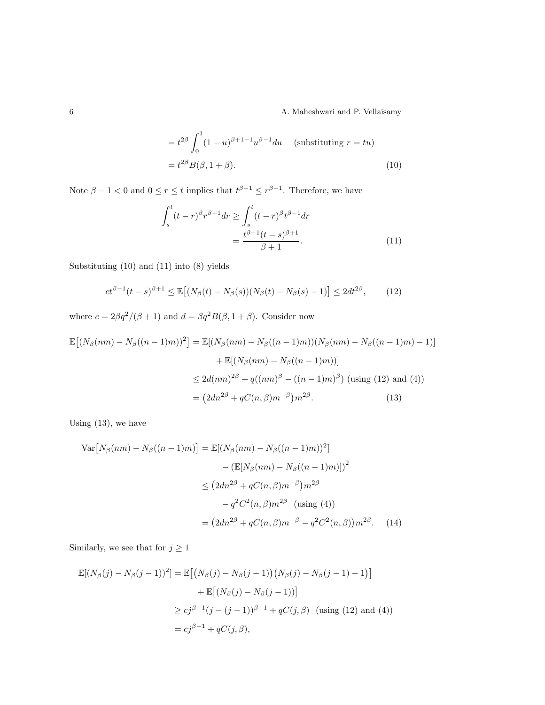6 A. Maheshwari and P. Vellaisamy

$$
= t^{2\beta} \int_0^1 (1 - u)^{\beta + 1 - 1} u^{\beta - 1} du \quad \text{(substituting } r = tu)
$$

$$
= t^{2\beta} B(\beta, 1 + \beta).
$$
 (10)

Note  $\beta - 1 < 0$  and  $0 \le r \le t$  implies that  $t^{\beta - 1} \le r^{\beta - 1}$ . Therefore, we have

$$
\int_{s}^{t} (t-r)^{\beta} r^{\beta-1} dr \ge \int_{s}^{t} (t-r)^{\beta} t^{\beta-1} dr
$$

$$
= \frac{t^{\beta-1} (t-s)^{\beta+1}}{\beta+1}.
$$
(11)

Substituting (10) and (11) into (8) yields

$$
ct^{\beta-1}(t-s)^{\beta+1} \le \mathbb{E}[(N_{\beta}(t) - N_{\beta}(s))(N_{\beta}(t) - N_{\beta}(s) - 1)] \le 2dt^{2\beta}, \qquad (12)
$$

where  $c = 2\beta q^2/(\beta + 1)$  and  $d = \beta q^2B(\beta, 1 + \beta)$ . Consider now

$$
\mathbb{E}[(N_{\beta}(nm) - N_{\beta}((n-1)m))^2] = \mathbb{E}[(N_{\beta}(nm) - N_{\beta}((n-1)m))(N_{\beta}(nm) - N_{\beta}((n-1)m) - 1)]
$$
  
+ 
$$
\mathbb{E}[(N_{\beta}(nm) - N_{\beta}((n-1)m))]
$$
  

$$
\leq 2d(nm)^{2\beta} + q((nm)^{\beta} - ((n-1)m)^{\beta}) \text{ (using (12) and (4))}
$$
  
= 
$$
(2dn^{2\beta} + qC(n, \beta)m^{-\beta})m^{2\beta}.
$$
 (13)

Using (13), we have

$$
\text{Var}\left[N_{\beta}(nm) - N_{\beta}((n-1)m)\right] = \mathbb{E}[(N_{\beta}(nm) - N_{\beta}((n-1)m))^2]
$$

$$
- (\mathbb{E}[N_{\beta}(nm) - N_{\beta}((n-1)m)])^2
$$

$$
\leq (2dn^{2\beta} + qC(n,\beta)m^{-\beta})m^{2\beta}
$$

$$
-q^2C^2(n,\beta)m^{2\beta} \text{ (using (4))}
$$

$$
= (2dn^{2\beta} + qC(n,\beta)m^{-\beta} - q^2C^2(n,\beta))m^{2\beta}. \quad (14)
$$

Similarly, we see that for  $j\geq 1$ 

$$
\mathbb{E}[(N_{\beta}(j) - N_{\beta}(j-1))^2] = \mathbb{E}[(N_{\beta}(j) - N_{\beta}(j-1))(N_{\beta}(j) - N_{\beta}(j-1) - 1)]
$$
  
+ 
$$
\mathbb{E}[(N_{\beta}(j) - N_{\beta}(j-1))]
$$
  

$$
\geq cj^{\beta-1}(j - (j-1))^{\beta+1} + qC(j, \beta) \text{ (using (12) and (4))}
$$
  
=  $cj^{\beta-1} + qC(j, \beta),$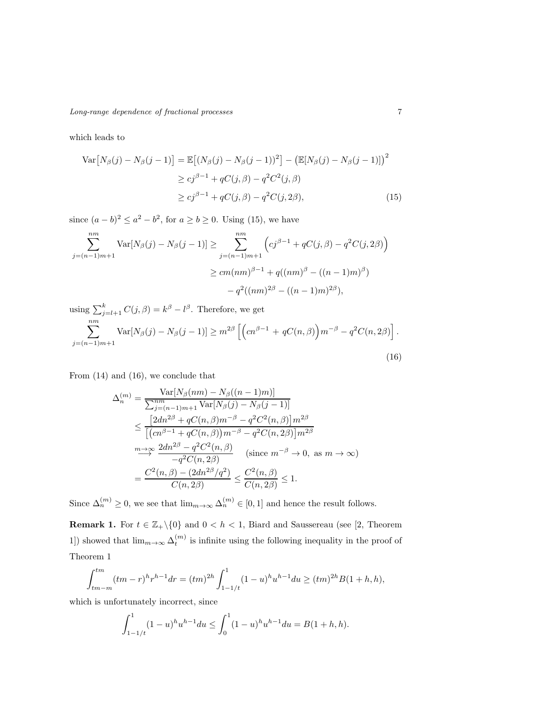Long-range dependence of fractional processes 7

which leads to

$$
\operatorname{Var}\left[N_{\beta}(j) - N_{\beta}(j-1)\right] = \mathbb{E}\left[(N_{\beta}(j) - N_{\beta}(j-1))^2\right] - \left(\mathbb{E}[N_{\beta}(j) - N_{\beta}(j-1)]\right)^2
$$
  
\n
$$
\geq cj^{\beta-1} + qC(j,\beta) - q^2C^2(j,\beta)
$$
  
\n
$$
\geq cj^{\beta-1} + qC(j,\beta) - q^2C(j,2\beta),
$$
\n(15)

since  $(a - b)^2 \le a^2 - b^2$ , for  $a \ge b \ge 0$ . Using (15), we have

$$
\sum_{j=(n-1)m+1}^{nm} \text{Var}[N_{\beta}(j) - N_{\beta}(j-1)] \ge \sum_{j=(n-1)m+1}^{nm} \left( cj^{\beta-1} + qC(j,\beta) - q^2C(j,2\beta) \right)
$$

$$
\ge cm(nm)^{\beta-1} + q((nm)^{\beta} - ((n-1)m)^{\beta})
$$

$$
-q^2((nm)^{2\beta} - ((n-1)m)^{2\beta}),
$$

using  $\sum_{j=l+1}^{k} C(j,\beta) = k^{\beta} - l^{\beta}$ . Therefore, we get  $\sum_{ }^{nm}$ 

$$
\sum_{j=(n-1)m+1} \text{Var}[N_{\beta}(j) - N_{\beta}(j-1)] \ge m^{2\beta} \left[ \left( cn^{\beta-1} + qC(n,\beta) \right) m^{-\beta} - q^2 C(n,2\beta) \right].
$$
\n(16)

From (14) and (16), we conclude that

$$
\Delta_n^{(m)} = \frac{\text{Var}[N_\beta(nm) - N_\beta((n-1)m)]}{\sum_{j=(n-1)m+1}^{nm} \text{Var}[N_\beta(j) - N_\beta(j-1)]}
$$
  
\n
$$
\leq \frac{[2dn^{2\beta} + qC(n, \beta)m^{-\beta} - q^2C^2(n, \beta)]m^{2\beta}}{[(cn^{\beta-1} + qC(n, \beta))m^{-\beta} - q^2C(n, 2\beta)]m^{2\beta}}
$$
  
\n
$$
\xrightarrow{m \to \infty} \frac{2dn^{2\beta} - q^2C^2(n, \beta)}{-q^2C(n, 2\beta)} \quad (\text{since } m^{-\beta} \to 0, \text{ as } m \to \infty)
$$
  
\n
$$
= \frac{C^2(n, \beta) - (2dn^{2\beta}/q^2)}{C(n, 2\beta)} \leq \frac{C^2(n, \beta)}{C(n, 2\beta)} \leq 1.
$$

Since  $\Delta_n^{(m)} \geq 0$ , we see that  $\lim_{m \to \infty} \Delta_n^{(m)} \in [0, 1]$  and hence the result follows.

**Remark 1.** For  $t \in \mathbb{Z}_+ \setminus \{0\}$  and  $0 < h < 1$ , Biard and Saussereau (see [2, Theorem 1) showed that  $\lim_{m\to\infty}\Delta_t^{(m)}$  is infinite using the following inequality in the proof of Theorem 1

$$
\int_{tm-m}^{tm} (tm-r)^h r^{h-1} dr = (tm)^{2h} \int_{1-1/t}^{1} (1-u)^h u^{h-1} du \ge (tm)^{2h} B(1+h,h),
$$

which is unfortunately incorrect, since

$$
\int_{1-1/t}^{1} (1-u)^{h} u^{h-1} du \le \int_{0}^{1} (1-u)^{h} u^{h-1} du = B(1+h,h).
$$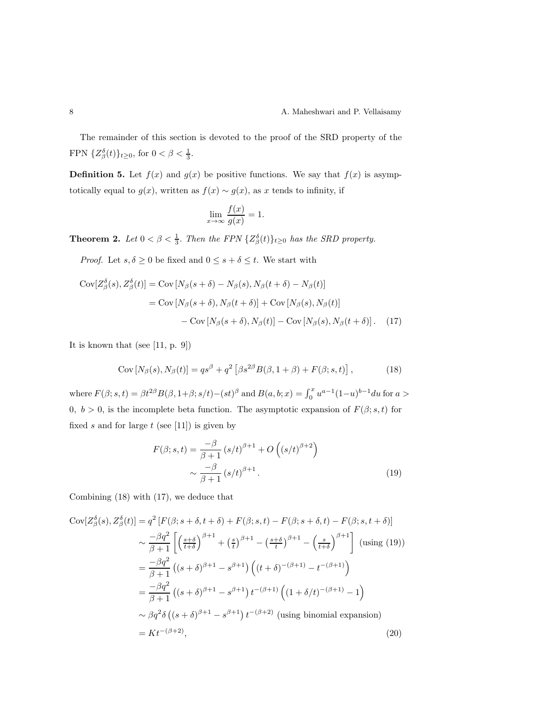The remainder of this section is devoted to the proof of the SRD property of the FPN  $\{Z_{\beta}^{\delta}(t)\}_{t\geq0}$ , for  $0<\beta<\frac{1}{3}$ .

**Definition 5.** Let  $f(x)$  and  $g(x)$  be positive functions. We say that  $f(x)$  is asymptotically equal to  $g(x)$ , written as  $f(x) \sim g(x)$ , as x tends to infinity, if

$$
\lim_{x \to \infty} \frac{f(x)}{g(x)} = 1.
$$

**Theorem 2.** Let  $0 < \beta < \frac{1}{3}$ . Then the FPN  $\{Z_{\beta}^{\delta}(t)\}_{t\geq 0}$  has the SRD property.

*Proof.* Let  $s, \delta \ge 0$  be fixed and  $0 \le s + \delta \le t$ . We start with

$$
Cov[Z^{\delta}_{\beta}(s), Z^{\delta}_{\beta}(t)] = Cov[N_{\beta}(s+\delta) - N_{\beta}(s), N_{\beta}(t+\delta) - N_{\beta}(t)]
$$
  
= Cov[N\_{\beta}(s+\delta), N\_{\beta}(t+\delta)] + Cov[N\_{\beta}(s), N\_{\beta}(t)]  
- Cov[N\_{\beta}(s+\delta), N\_{\beta}(t)] - Cov[N\_{\beta}(s), N\_{\beta}(t+\delta)]. (17)

It is known that (see [11, p. 9])

$$
Cov[N_{\beta}(s), N_{\beta}(t)] = qs^{\beta} + q^2 \left[ \beta s^{2\beta} B(\beta, 1+\beta) + F(\beta; s, t) \right],
$$
 (18)

where  $F(\beta; s, t) = \beta t^{2\beta} B(\beta, 1 + \beta; s/t) - (st)^{\beta}$  and  $B(a, b; x) = \int_0^x u^{a-1} (1-u)^{b-1} du$  for  $a >$ 0,  $b > 0$ , is the incomplete beta function. The asymptotic expansion of  $F(\beta; s, t)$  for fixed s and for large  $t$  (see [11]) is given by

$$
F(\beta; s, t) = \frac{-\beta}{\beta + 1} (s/t)^{\beta + 1} + O\left((s/t)^{\beta + 2}\right)
$$

$$
\sim \frac{-\beta}{\beta + 1} (s/t)^{\beta + 1}.
$$
 (19)

Combining (18) with (17), we deduce that

$$
Cov[Z_{\beta}^{\delta}(s), Z_{\beta}^{\delta}(t)] = q^{2} [F(\beta; s + \delta, t + \delta) + F(\beta; s, t) - F(\beta; s + \delta, t) - F(\beta; s, t + \delta)]
$$
  
\n
$$
\sim \frac{-\beta q^{2}}{\beta + 1} \left[ \left( \frac{s + \delta}{t + \delta} \right)^{\beta + 1} + \left( \frac{s}{t} \right)^{\beta + 1} - \left( \frac{s + \delta}{t} \right)^{\beta + 1} - \left( \frac{s}{t + \delta} \right)^{\beta + 1} \right] \text{ (using (19))}
$$
  
\n
$$
= \frac{-\beta q^{2}}{\beta + 1} \left( (s + \delta)^{\beta + 1} - s^{\beta + 1} \right) \left( (t + \delta)^{-(\beta + 1)} - t^{-(\beta + 1)} \right)
$$
  
\n
$$
= \frac{-\beta q^{2}}{\beta + 1} \left( (s + \delta)^{\beta + 1} - s^{\beta + 1} \right) t^{-(\beta + 1)} \left( (1 + \delta/t)^{-(\beta + 1)} - 1 \right)
$$
  
\n
$$
\sim \beta q^{2} \delta \left( (s + \delta)^{\beta + 1} - s^{\beta + 1} \right) t^{-(\beta + 2)} \text{ (using binomial expansion)}
$$
  
\n
$$
= Kt^{-(\beta + 2)}, \qquad (20)
$$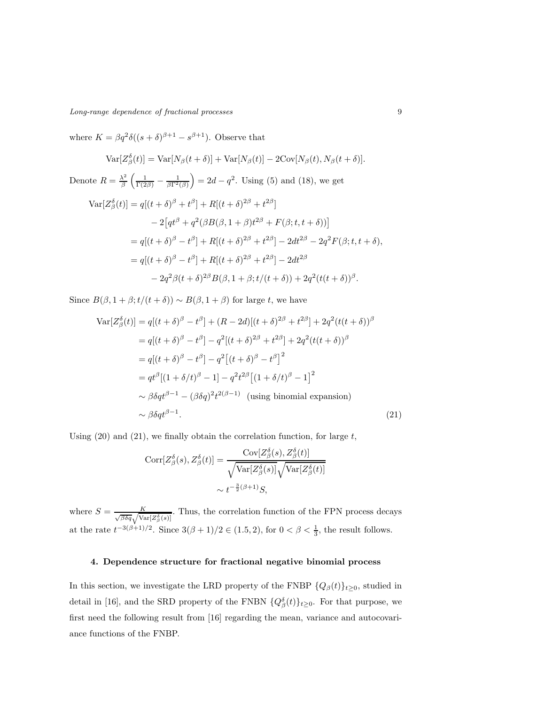Long-range dependence of fractional processes 9

where  $K = \beta q^2 \delta((s+\delta)^{\beta+1} - s^{\beta+1})$ . Observe that

$$
Var[Z_{\beta}^{\delta}(t)] = Var[N_{\beta}(t+\delta)] + Var[N_{\beta}(t)] - 2Cov[N_{\beta}(t), N_{\beta}(t+\delta)].
$$

Denote  $R = \frac{\lambda^2}{\beta}$  $\frac{\lambda^2}{\beta} \left( \frac{1}{\Gamma(2\beta)} - \frac{1}{\beta \Gamma^2(\beta)} \right) = 2d - q^2$ . Using (5) and (18), we get

$$
\begin{split} \text{Var}[Z^{\delta}_{\beta}(t)] &= q[(t+\delta)^{\beta} + t^{\beta}] + R[(t+\delta)^{2\beta} + t^{2\beta}] \\ &- 2\big[q t^{\beta} + q^{2}(\beta B(\beta, 1+\beta)t^{2\beta} + F(\beta; t, t+\delta))\big] \\ &= q[(t+\delta)^{\beta} - t^{\beta}] + R[(t+\delta)^{2\beta} + t^{2\beta}] - 2dt^{2\beta} - 2q^{2}F(\beta; t, t+\delta), \\ &= q[(t+\delta)^{\beta} - t^{\beta}] + R[(t+\delta)^{2\beta} + t^{2\beta}] - 2dt^{2\beta} \\ &- 2q^{2}\beta(t+\delta)^{2\beta}B(\beta, 1+\beta; t/(t+\delta)) + 2q^{2}(t(t+\delta))^{\beta}. \end{split}
$$

Since  $B(\beta, 1 + \beta; t/(t + \delta)) \sim B(\beta, 1 + \beta)$  for large t, we have

$$
\operatorname{Var}[Z_{\beta}^{\delta}(t)] = q[(t+\delta)^{\beta} - t^{\beta}] + (R - 2d)[(t+\delta)^{2\beta} + t^{2\beta}] + 2q^{2}(t(t+\delta))^{\beta}
$$
  
\n
$$
= q[(t+\delta)^{\beta} - t^{\beta}] - q^{2}[(t+\delta)^{2\beta} + t^{2\beta}] + 2q^{2}(t(t+\delta))^{\beta}
$$
  
\n
$$
= q[(t+\delta)^{\beta} - t^{\beta}] - q^{2}[(t+\delta)^{\beta} - t^{\beta}]^{2}
$$
  
\n
$$
= qt^{\beta}[(1+\delta/t)^{\beta} - 1] - q^{2}t^{2\beta}[(1+\delta/t)^{\beta} - 1]^{2}
$$
  
\n
$$
\sim \beta\delta qt^{\beta-1} - (\beta\delta q)^{2}t^{2(\beta-1)} \text{ (using binomial expansion)}
$$
  
\n
$$
\sim \beta\delta qt^{\beta-1}.
$$
 (21)

Using  $(20)$  and  $(21)$ , we finally obtain the correlation function, for large t,

$$
Corr[Z^{\delta}_{\beta}(s), Z^{\delta}_{\beta}(t)] = \frac{Cov[Z^{\delta}_{\beta}(s), Z^{\delta}_{\beta}(t)]}{\sqrt{Var[Z^{\delta}_{\beta}(s)]}\sqrt{Var[Z^{\delta}_{\beta}(t)]}}
$$

$$
\sim t^{-\frac{3}{2}(\beta+1)}S,
$$

where  $S = \frac{K}{\sqrt{\beta \delta q} \sqrt{\text{Var}[Z_{\beta}^{\delta}(s)]}}$ . Thus, the correlation function of the FPN process decays at the rate  $t^{-3(\beta+1)/2}$ . Since  $3(\beta+1)/2 \in (1.5, 2)$ , for  $0 < \beta < \frac{1}{3}$ , the result follows.

#### 4. Dependence structure for fractional negative binomial process

In this section, we investigate the LRD property of the FNBP  $\{Q_{\beta}(t)\}_{t\geq0}$ , studied in detail in [16], and the SRD property of the FNBN  $\{Q_{\beta}^{\delta}(t)\}_{t\geq0}$ . For that purpose, we first need the following result from [16] regarding the mean, variance and autocovariance functions of the FNBP.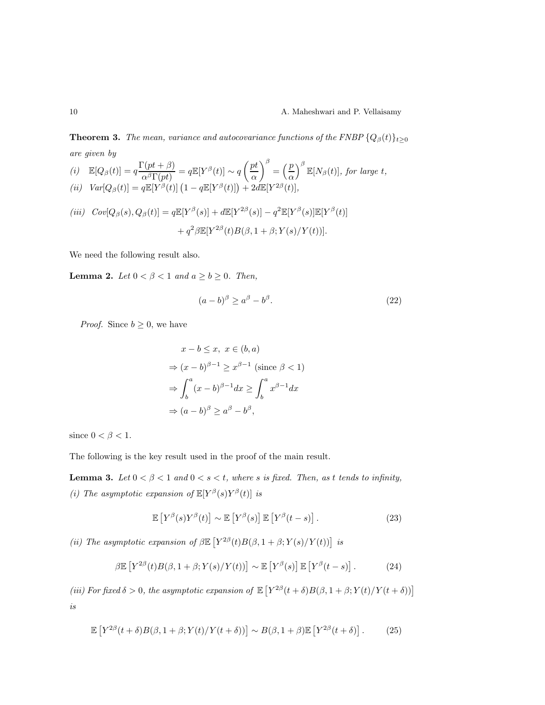**Theorem 3.** The mean, variance and autocovariance functions of the FNBP  $\{Q_{\beta}(t)\}_{t\geq 0}$ are given by  $\overline{B}$ 

(i) 
$$
\mathbb{E}[Q_{\beta}(t)] = q \frac{\Gamma(pt + \beta)}{\alpha^{\beta} \Gamma(pt)} = q \mathbb{E}[Y^{\beta}(t)] \sim q \left(\frac{pt}{\alpha}\right)^{\beta} = \left(\frac{p}{\alpha}\right)^{\beta} \mathbb{E}[N_{\beta}(t)],
$$
 for large  $t$ ,  
\n(ii)  $Var[Q_{\beta}(t)] = q \mathbb{E}[Y^{\beta}(t)] \left(1 - q \mathbb{E}[Y^{\beta}(t)]\right) + 2d \mathbb{E}[Y^{2\beta}(t)],$ 

$$
(iii) \quad Cov[Q_{\beta}(s), Q_{\beta}(t)] = q\mathbb{E}[Y^{\beta}(s)] + d\mathbb{E}[Y^{2\beta}(s)] - q^2\mathbb{E}[Y^{\beta}(s)]\mathbb{E}[Y^{\beta}(t)]
$$

$$
+ q^2\beta\mathbb{E}[Y^{2\beta}(t)B(\beta, 1+\beta; Y(s)/Y(t))].
$$

We need the following result also.

**Lemma 2.** Let  $0 < \beta < 1$  and  $a \ge b \ge 0$ . Then,

$$
(a-b)^{\beta} \ge a^{\beta} - b^{\beta}.
$$
\n<sup>(22)</sup>

*Proof.* Since  $b \geq 0$ , we have

$$
x - b \le x, \ x \in (b, a)
$$
  
\n
$$
\Rightarrow (x - b)^{\beta - 1} \ge x^{\beta - 1} \text{ (since } \beta < 1)
$$
  
\n
$$
\Rightarrow \int_b^a (x - b)^{\beta - 1} dx \ge \int_b^a x^{\beta - 1} dx
$$
  
\n
$$
\Rightarrow (a - b)^{\beta} \ge a^{\beta} - b^{\beta},
$$

since  $0<\beta<1.$ 

The following is the key result used in the proof of the main result.

**Lemma 3.** Let  $0 < \beta < 1$  and  $0 < s < t$ , where s is fixed. Then, as t tends to infinity, (i) The asymptotic expansion of  $\mathbb{E}[Y^{\beta}(s)Y^{\beta}(t)]$  is

$$
\mathbb{E}\left[Y^{\beta}(s)Y^{\beta}(t)\right] \sim \mathbb{E}\left[Y^{\beta}(s)\right]\mathbb{E}\left[Y^{\beta}(t-s)\right].\tag{23}
$$

(ii) The asymptotic expansion of  $\beta \mathbb{E} \left[ Y^{2\beta}(t) B(\beta, 1+\beta; Y(s)/Y(t)) \right]$  is

$$
\beta \mathbb{E}\left[Y^{2\beta}(t)B(\beta, 1+\beta; Y(s)/Y(t))\right] \sim \mathbb{E}\left[Y^{\beta}(s)\right] \mathbb{E}\left[Y^{\beta}(t-s)\right].\tag{24}
$$

(iii) For fixed  $\delta > 0$ , the asymptotic expansion of  $\mathbb{E}[Y^{2\beta}(t + \delta)B(\beta, 1 + \beta; Y(t)/Y(t + \delta))]$ is

$$
\mathbb{E}\left[Y^{2\beta}(t+\delta)B(\beta,1+\beta;Y(t)/Y(t+\delta))\right] \sim B(\beta,1+\beta)\mathbb{E}\left[Y^{2\beta}(t+\delta)\right].\tag{25}
$$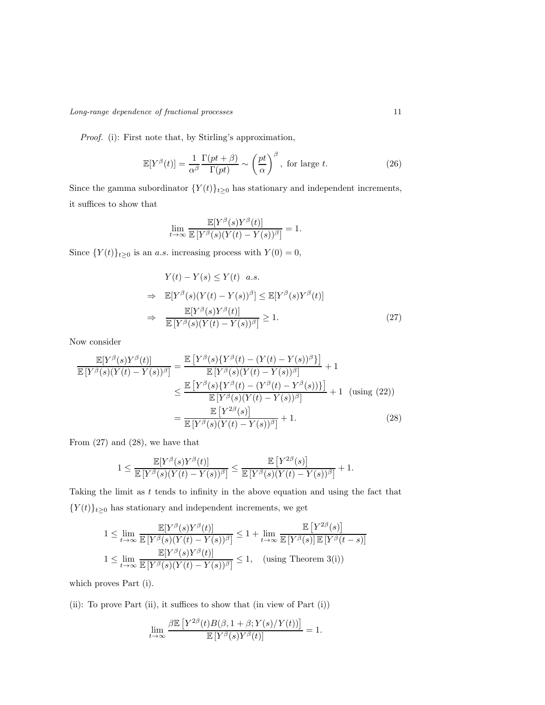Proof. (i): First note that, by Stirling's approximation,

$$
\mathbb{E}[Y^{\beta}(t)] = \frac{1}{\alpha^{\beta}} \frac{\Gamma(pt + \beta)}{\Gamma(pt)} \sim \left(\frac{pt}{\alpha}\right)^{\beta}, \text{ for large } t.
$$
 (26)

Since the gamma subordinator  $\{Y(t)\}_{t\geq 0}$  has stationary and independent increments, it suffices to show that

$$
\lim_{t \to \infty} \frac{\mathbb{E}[Y^{\beta}(s)Y^{\beta}(t)]}{\mathbb{E}[Y^{\beta}(s)(Y(t) - Y(s))^{\beta}]} = 1.
$$

Since  $\{Y(t)\}_{t\geq 0}$  is an a.s. increasing process with  $Y(0) = 0$ ,

$$
Y(t) - Y(s) \le Y(t) \quad a.s.
$$
  
\n
$$
\Rightarrow \mathbb{E}[Y^{\beta}(s)(Y(t) - Y(s))^{\beta}] \le \mathbb{E}[Y^{\beta}(s)Y^{\beta}(t)]
$$
  
\n
$$
\Rightarrow \frac{\mathbb{E}[Y^{\beta}(s)Y^{\beta}(t)]}{\mathbb{E}[Y^{\beta}(s)(Y(t) - Y(s))^{\beta}]} \ge 1.
$$
\n(27)

Now consider

$$
\frac{\mathbb{E}[Y^{\beta}(s)Y^{\beta}(t)]}{\mathbb{E}[Y^{\beta}(s)(Y(t) - Y(s))^{\beta}]} = \frac{\mathbb{E}[Y^{\beta}(s)\{Y^{\beta}(t) - (Y(t) - Y(s))^{\beta}\}]}{\mathbb{E}[Y^{\beta}(s)(Y(t) - Y(s))^{\beta}]} + 1
$$
\n
$$
\leq \frac{\mathbb{E}[Y^{\beta}(s)\{Y^{\beta}(t) - (Y^{\beta}(t) - Y^{\beta}(s))\}]}{\mathbb{E}[Y^{\beta}(s)(Y(t) - Y(s))^{\beta}]} + 1 \text{ (using (22))}
$$
\n
$$
= \frac{\mathbb{E}[Y^{\beta}(s)(Y(t) - Y(s))^{\beta}]}{\mathbb{E}[Y^{\beta}(s)(Y(t) - Y(s))^{\beta}]} + 1. \tag{28}
$$

From  $(27)$  and  $(28)$ , we have that

$$
1\leq \frac{\mathbb{E}[Y^{\beta}(s)Y^{\beta}(t)]}{\mathbb{E}\left[Y^{\beta}(s)(Y(t)-Y(s))^{\beta}\right]}\leq \frac{\mathbb{E}\left[Y^{2\beta}(s)\right]}{\mathbb{E}\left[Y^{\beta}(s)(Y(t)-Y(s))^{\beta}\right]}+1.
$$

Taking the limit as  $t$  tends to infinity in the above equation and using the fact that  $\{Y(t)\}_{t\geq 0}$  has stationary and independent increments, we get

$$
1 \leq \lim_{t \to \infty} \frac{\mathbb{E}[Y^{\beta}(s)Y^{\beta}(t)]}{\mathbb{E}[Y^{\beta}(s)(Y(t) - Y(s))^{\beta}]} \leq 1 + \lim_{t \to \infty} \frac{\mathbb{E}[Y^{2\beta}(s)]}{\mathbb{E}[Y^{\beta}(s)]\mathbb{E}[Y^{\beta}(t-s)]}
$$
  

$$
1 \leq \lim_{t \to \infty} \frac{\mathbb{E}[Y^{\beta}(s)Y^{\beta}(t)]}{\mathbb{E}[Y^{\beta}(s)(Y(t) - Y(s))^{\beta}]} \leq 1, \quad \text{(using Theorem 3(i))}
$$

which proves Part (i).

(ii): To prove Part (ii), it suffices to show that (in view of Part (i))

$$
\lim_{t\to\infty}\frac{\beta{\mathbb E}\left[Y^{2\beta}(t)B(\beta,1+\beta;Y(s)/Y(t))\right]}{{\mathbb E}\left[Y^{\beta}(s)Y^{\beta}(t)\right]}=1.
$$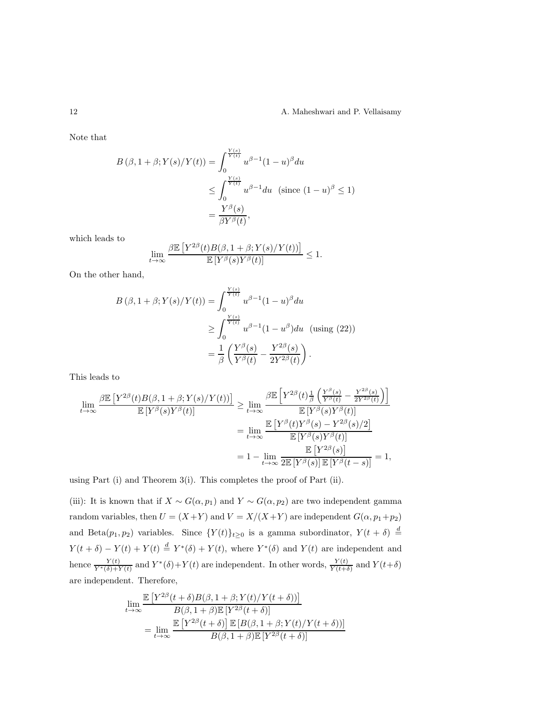Note that

$$
B(\beta, 1+\beta; Y(s)/Y(t)) = \int_0^{\frac{Y(s)}{Y(t)}} u^{\beta-1} (1-u)^{\beta} du
$$
  
\n
$$
\leq \int_0^{\frac{Y(s)}{Y(t)}} u^{\beta-1} du \text{ (since } (1-u)^{\beta} \leq 1)
$$
  
\n
$$
= \frac{Y^{\beta}(s)}{\beta Y^{\beta}(t)},
$$

which leads to

$$
\lim_{t \to \infty} \frac{\beta \mathbb{E}\left[Y^{2\beta}(t)B(\beta, 1+\beta; Y(s)/Y(t))\right]}{\mathbb{E}\left[Y^{\beta}(s)Y^{\beta}(t)\right]} \le 1.
$$

On the other hand,

$$
B(\beta, 1+\beta; Y(s)/Y(t)) = \int_0^{\frac{Y(s)}{Y(t)}} u^{\beta-1} (1-u)^{\beta} du
$$
  
\n
$$
\geq \int_0^{\frac{Y(s)}{Y(t)}} u^{\beta-1} (1-u^{\beta}) du \text{ (using (22))}
$$
  
\n
$$
= \frac{1}{\beta} \left( \frac{Y^{\beta}(s)}{Y^{\beta}(t)} - \frac{Y^{2\beta}(s)}{2Y^{2\beta}(t)} \right).
$$

This leads to

$$
\lim_{t \to \infty} \frac{\beta \mathbb{E}\left[Y^{2\beta}(t)B(\beta, 1+\beta; Y(s)/Y(t))\right]}{\mathbb{E}\left[Y^{\beta}(s)Y^{\beta}(t)\right]} \geq \lim_{t \to \infty} \frac{\beta \mathbb{E}\left[Y^{2\beta}(t)\frac{1}{\beta}\left(\frac{Y^{\beta}(s)}{Y^{\beta}(t)} - \frac{Y^{2\beta}(s)}{2Y^{2\beta}(t)}\right)\right]}{\mathbb{E}\left[Y^{\beta}(s)Y^{\beta}(t)\right]}
$$
\n
$$
= \lim_{t \to \infty} \frac{\mathbb{E}\left[Y^{\beta}(t)Y^{\beta}(s) - Y^{2\beta}(s)/2\right]}{\mathbb{E}\left[Y^{\beta}(s)Y^{\beta}(t)\right]}
$$
\n
$$
= 1 - \lim_{t \to \infty} \frac{\mathbb{E}\left[Y^{2\beta}(s)\right]}{2\mathbb{E}\left[Y^{\beta}(s)\right]\mathbb{E}\left[Y^{\beta}(t-s)\right]} = 1,
$$

using Part (i) and Theorem 3(i). This completes the proof of Part (ii).

(iii): It is known that if  $X \sim G(\alpha, p_1)$  and  $Y \sim G(\alpha, p_2)$  are two independent gamma random variables, then  $U = (X + Y)$  and  $V = X/(X + Y)$  are independent  $G(\alpha, p_1 + p_2)$ and Beta $(p_1, p_2)$  variables. Since  $\{Y(t)\}_{t\geq 0}$  is a gamma subordinator,  $Y(t + \delta) \stackrel{d}{=}$  $Y(t + \delta) - Y(t) + Y(t) \stackrel{d}{=} Y^*(\delta) + Y(t)$ , where  $Y^*(\delta)$  and  $Y(t)$  are independent and hence  $\frac{Y(t)}{Y^*(\delta)+Y(t)}$  and  $Y^*(\delta)+Y(t)$  are independent. In other words,  $\frac{Y(t)}{Y(t+\delta)}$  and  $Y(t+\delta)$ are independent. Therefore,

$$
\lim_{t \to \infty} \frac{\mathbb{E}\left[Y^{2\beta}(t+\delta)B(\beta, 1+\beta; Y(t)/Y(t+\delta))\right]}{B(\beta, 1+\beta)\mathbb{E}\left[Y^{2\beta}(t+\delta)\right]} \n= \lim_{t \to \infty} \frac{\mathbb{E}\left[Y^{2\beta}(t+\delta)\right] \mathbb{E}\left[B(\beta, 1+\beta; Y(t)/Y(t+\delta))\right]}{B(\beta, 1+\beta)\mathbb{E}\left[Y^{2\beta}(t+\delta)\right]}
$$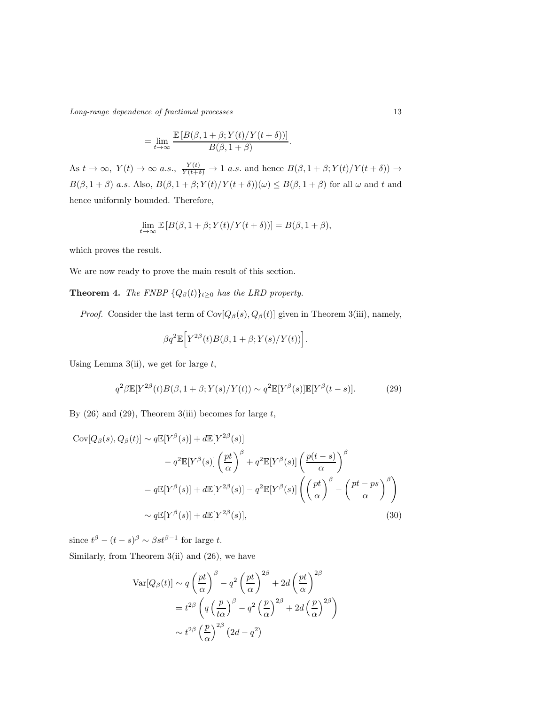Long-range dependence of fractional processes 13

$$
= \lim_{t \to \infty} \frac{\mathbb{E}\left[B(\beta, 1+\beta; Y(t)/Y(t+\delta))\right]}{B(\beta, 1+\beta)}.
$$

As  $t \to \infty$ ,  $Y(t) \to \infty$  a.s.,  $\frac{Y(t)}{Y(t+\delta)} \to 1$  a.s. and hence  $B(\beta, 1+\beta; Y(t)/Y(t+\delta)) \to$  $B(\beta, 1+\beta)$  a.s. Also,  $B(\beta, 1+\beta; Y(t)/Y(t+\delta))(\omega) \leq B(\beta, 1+\beta)$  for all  $\omega$  and t and hence uniformly bounded. Therefore,

$$
\lim_{t \to \infty} \mathbb{E}\left[B(\beta, 1+\beta; Y(t)/Y(t+\delta))\right] = B(\beta, 1+\beta),
$$

which proves the result.

We are now ready to prove the main result of this section.

# **Theorem 4.** The FNBP  $\{Q_{\beta}(t)\}_{t\geq 0}$  has the LRD property.

*Proof.* Consider the last term of  $Cov[Q_\beta(s), Q_\beta(t)]$  given in Theorem 3(iii), namely,

$$
\beta q^2 \mathbb{E}\Big[ Y^{2\beta}(t) B(\beta, 1+\beta; Y(s)/Y(t)) \Big].
$$

Using Lemma 3(ii), we get for large  $t$ ,

$$
q^2\beta \mathbb{E}[Y^{2\beta}(t)B(\beta, 1+\beta; Y(s)/Y(t)) \sim q^2 \mathbb{E}[Y^{\beta}(s)] \mathbb{E}[Y^{\beta}(t-s)]. \tag{29}
$$

By  $(26)$  and  $(29)$ , Theorem 3(iii) becomes for large t,

$$
Cov[Q_{\beta}(s), Q_{\beta}(t)] \sim q \mathbb{E}[Y^{\beta}(s)] + d\mathbb{E}[Y^{2\beta}(s)]
$$
  

$$
-q^{2} \mathbb{E}[Y^{\beta}(s)] \left(\frac{pt}{\alpha}\right)^{\beta} + q^{2} \mathbb{E}[Y^{\beta}(s)] \left(\frac{p(t-s)}{\alpha}\right)^{\beta}
$$
  

$$
= q \mathbb{E}[Y^{\beta}(s)] + d\mathbb{E}[Y^{2\beta}(s)] - q^{2} \mathbb{E}[Y^{\beta}(s)] \left(\left(\frac{pt}{\alpha}\right)^{\beta} - \left(\frac{pt - ps}{\alpha}\right)^{\beta}\right)
$$
  

$$
\sim q \mathbb{E}[Y^{\beta}(s)] + d\mathbb{E}[Y^{2\beta}(s)], \qquad (30)
$$

since  $t^{\beta} - (t - s)^{\beta} \sim \beta st^{\beta - 1}$  for large t.

Similarly, from Theorem 3(ii) and (26), we have

$$
\operatorname{Var}[Q_{\beta}(t)] \sim q \left(\frac{pt}{\alpha}\right)^{\beta} - q^{2} \left(\frac{pt}{\alpha}\right)^{2\beta} + 2d \left(\frac{pt}{\alpha}\right)^{2\beta}
$$

$$
= t^{2\beta} \left(q \left(\frac{p}{t\alpha}\right)^{\beta} - q^{2} \left(\frac{p}{\alpha}\right)^{2\beta} + 2d \left(\frac{p}{\alpha}\right)^{2\beta}\right)
$$

$$
\sim t^{2\beta} \left(\frac{p}{\alpha}\right)^{2\beta} \left(2d - q^{2}\right)
$$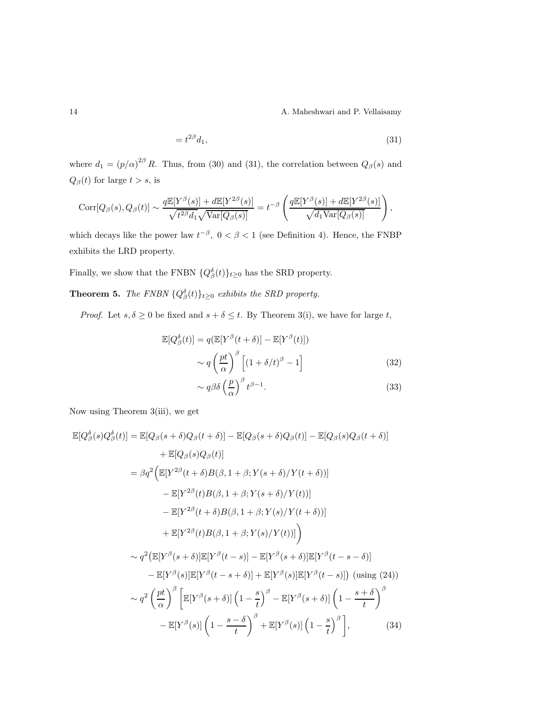14 A. Maheshwari and P. Vellaisamy

$$
=t^{2\beta}d_1,\tag{31}
$$

where  $d_1 = (p/\alpha)^{2\beta} R$ . Thus, from (30) and (31), the correlation between  $Q_\beta(s)$  and  $Q_{\beta}(t)$  for large  $t > s$ , is

$$
Corr[Q_{\beta}(s), Q_{\beta}(t)] \sim \frac{q \mathbb{E}[Y^{\beta}(s)] + d \mathbb{E}[Y^{2\beta}(s)]}{\sqrt{t^{2\beta}d_1}\sqrt{\text{Var}[Q_{\beta}(s)]}} = t^{-\beta} \left( \frac{q \mathbb{E}[Y^{\beta}(s)] + d \mathbb{E}[Y^{2\beta}(s)]}{\sqrt{d_1 \text{Var}[Q_{\beta}(s)]}} \right),
$$

which decays like the power law  $t^{-\beta}$ ,  $0 < \beta < 1$  (see Definition 4). Hence, the FNBP exhibits the LRD property.

Finally, we show that the FNBN  $\{Q_{\beta}^{\delta}(t)\}_{t\geq 0}$  has the SRD property.

**Theorem 5.** The FNBN  $\{Q^{\delta}_{\beta}(t)\}_{t\geq 0}$  exhibits the SRD property.

*Proof.* Let  $s, \delta \ge 0$  be fixed and  $s + \delta \le t$ . By Theorem 3(i), we have for large t,

$$
\mathbb{E}[Q_{\beta}^{\delta}(t)] = q(\mathbb{E}[Y^{\beta}(t+\delta)] - \mathbb{E}[Y^{\beta}(t)])
$$

$$
\sim q\left(\frac{pt}{\alpha}\right)^{\beta} \left[ (1+\delta/t)^{\beta} - 1 \right]
$$
(32)

$$
\sim q\beta\delta\left(\frac{p}{\alpha}\right)^{\beta}t^{\beta-1}.\tag{33}
$$

Now using Theorem 3(iii), we get

$$
\mathbb{E}[Q_{\beta}^{\delta}(s)Q_{\beta}^{\delta}(t)] = \mathbb{E}[Q_{\beta}(s+\delta)Q_{\beta}(t+\delta)] - \mathbb{E}[Q_{\beta}(s+\delta)Q_{\beta}(t)] - \mathbb{E}[Q_{\beta}(s)Q_{\beta}(t+\delta)]
$$
  
\n
$$
+ \mathbb{E}[Q_{\beta}(s)Q_{\beta}(t)]
$$
  
\n
$$
= \beta q^{2} \Big( \mathbb{E}[Y^{2\beta}(t+\delta)B(\beta, 1+\beta; Y(s+\delta)/Y(t+\delta))] - \mathbb{E}[Y^{2\beta}(t)B(\beta, 1+\beta; Y(s+\delta)/Y(t))] - \mathbb{E}[Y^{2\beta}(t+\delta)B(\beta, 1+\beta; Y(s)/Y(t+\delta))]
$$
  
\n
$$
+ \mathbb{E}[Y^{2\beta}(t)B(\beta, 1+\beta; Y(s)/Y(t))] \Big)
$$
  
\n
$$
\sim q^{2} \Big( \mathbb{E}[Y^{\beta}(s+\delta)]\mathbb{E}[Y^{\beta}(t-s)] - \mathbb{E}[Y^{\beta}(s+\delta)]\mathbb{E}[Y^{\beta}(t-s-\delta)] - \mathbb{E}[Y^{\beta}(s)]\mathbb{E}[Y^{\beta}(t-s)] \Big) \Big( \text{using (24)})
$$
  
\n
$$
\sim q^{2} \left( \frac{pt}{\alpha} \right)^{\beta} \Big[ \mathbb{E}[Y^{\beta}(s+\delta)] \left( 1 - \frac{s}{t} \right)^{\beta} - \mathbb{E}[Y^{\beta}(s+\delta)] \left( 1 - \frac{s+\delta}{t} \right)^{\beta}
$$
  
\n
$$
- \mathbb{E}[Y^{\beta}(s)] \left( 1 - \frac{s-\delta}{t} \right)^{\beta} + \mathbb{E}[Y^{\beta}(s)] \left( 1 - \frac{s}{t} \right)^{\beta} \Big], \qquad (34)
$$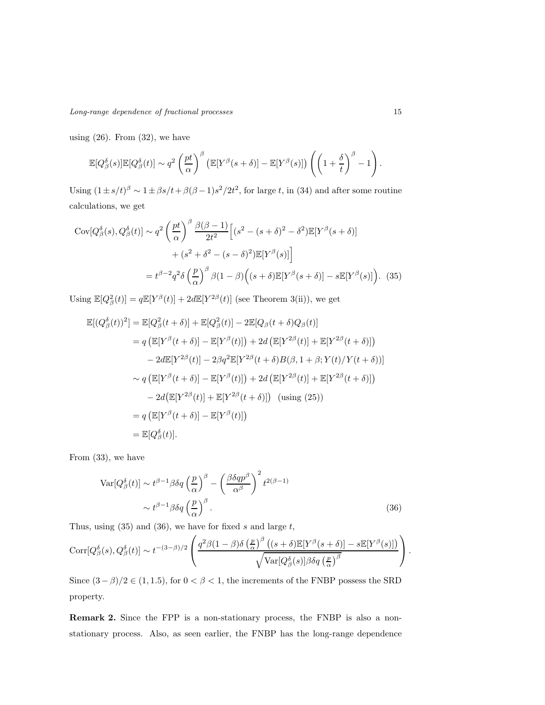using  $(26)$ . From  $(32)$ , we have

$$
\mathbb{E}[Q_{\beta}^{\delta}(s)]\mathbb{E}[Q_{\beta}^{\delta}(t)] \sim q^2 \left(\frac{pt}{\alpha}\right)^{\beta} \left(\mathbb{E}[Y^{\beta}(s+\delta)] - \mathbb{E}[Y^{\beta}(s)]\right) \left(\left(1+\frac{\delta}{t}\right)^{\beta}-1\right).
$$

Using  $(1 \pm s/t)^{\beta} \sim 1 \pm \beta s/t + \beta(\beta - 1)s^{2}/2t^{2}$ , for large t, in (34) and after some routine calculations, we get

$$
Cov[Q^{\delta}_{\beta}(s), Q^{\delta}_{\beta}(t)] \sim q^2 \left(\frac{pt}{\alpha}\right)^{\beta} \frac{\beta(\beta-1)}{2t^2} \left[ (s^2 - (s+\delta)^2 - \delta^2) \mathbb{E}[Y^{\beta}(s+\delta)] + (s^2 + \delta^2 - (s-\delta)^2) \mathbb{E}[Y^{\beta}(s)] \right]
$$

$$
= t^{\beta-2} q^2 \delta \left(\frac{p}{\alpha}\right)^{\beta} \beta(1-\beta) \left( (s+\delta) \mathbb{E}[Y^{\beta}(s+\delta)] - s \mathbb{E}[Y^{\beta}(s)] \right). (35)
$$

Using  $\mathbb{E}[Q_{\beta}^2(t)] = q \mathbb{E}[Y^{\beta}(t)] + 2d\mathbb{E}[Y^{2\beta}(t)]$  (see Theorem 3(ii)), we get

$$
\mathbb{E}[(Q_{\beta}^{\delta}(t))^{2}] = \mathbb{E}[Q_{\beta}^{2}(t+\delta)] + \mathbb{E}[Q_{\beta}^{2}(t)] - 2\mathbb{E}[Q_{\beta}(t+\delta)Q_{\beta}(t)]
$$
  
\n
$$
= q (\mathbb{E}[Y^{\beta}(t+\delta)] - \mathbb{E}[Y^{\beta}(t)]) + 2d (\mathbb{E}[Y^{2\beta}(t)] + \mathbb{E}[Y^{2\beta}(t+\delta)])
$$
  
\n
$$
- 2d\mathbb{E}[Y^{2\beta}(t)] - 2\beta q^{2}\mathbb{E}[Y^{2\beta}(t+\delta)B(\beta, 1+\beta; Y(t)/Y(t+\delta))]
$$
  
\n
$$
\sim q (\mathbb{E}[Y^{\beta}(t+\delta)] - \mathbb{E}[Y^{\beta}(t)]) + 2d (\mathbb{E}[Y^{2\beta}(t)] + \mathbb{E}[Y^{2\beta}(t+\delta)])
$$
  
\n
$$
- 2d(\mathbb{E}[Y^{2\beta}(t)] + \mathbb{E}[Y^{2\beta}(t+\delta)])
$$
 (using (25))  
\n
$$
= q (\mathbb{E}[Y^{\beta}(t+\delta)] - \mathbb{E}[Y^{\beta}(t)])
$$
  
\n
$$
= \mathbb{E}[Q_{\beta}^{\delta}(t)].
$$

From (33), we have

$$
\operatorname{Var}[Q^{\delta}_{\beta}(t)] \sim t^{\beta - 1} \beta \delta q \left(\frac{p}{\alpha}\right)^{\beta} - \left(\frac{\beta \delta q p^{\beta}}{\alpha^{\beta}}\right)^{2} t^{2(\beta - 1)} \sim t^{\beta - 1} \beta \delta q \left(\frac{p}{\alpha}\right)^{\beta}.
$$
\n(36)

Thus, using  $(35)$  and  $(36)$ , we have for fixed s and large t,

$$
Corr[Q^{\delta}_{\beta}(s), Q^{\delta}_{\beta}(t)] \sim t^{-(3-\beta)/2} \left( \frac{q^2 \beta (1-\beta) \delta \left(\frac{p}{\alpha}\right)^{\beta} \left( (s+\delta) \mathbb{E}[Y^{\beta}(s+\delta)] - s \mathbb{E}[Y^{\beta}(s)] \right)}{\sqrt{\text{Var}[Q^{\delta}_{\beta}(s)] \beta \delta q \left(\frac{p}{\alpha}\right)^{\beta}}} \right).
$$

Since  $(3 - \beta)/2 \in (1, 1.5)$ , for  $0 < \beta < 1$ , the increments of the FNBP possess the SRD property.

Remark 2. Since the FPP is a non-stationary process, the FNBP is also a nonstationary process. Also, as seen earlier, the FNBP has the long-range dependence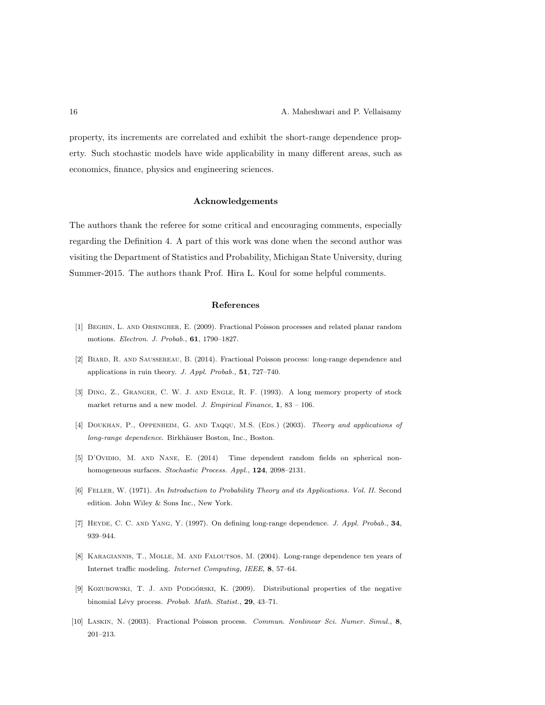property, its increments are correlated and exhibit the short-range dependence property. Such stochastic models have wide applicability in many different areas, such as economics, finance, physics and engineering sciences.

#### Acknowledgements

The authors thank the referee for some critical and encouraging comments, especially regarding the Definition 4. A part of this work was done when the second author was visiting the Department of Statistics and Probability, Michigan State University, during Summer-2015. The authors thank Prof. Hira L. Koul for some helpful comments.

#### References

- [1] Beghin, L. and Orsingher, E. (2009). Fractional Poisson processes and related planar random motions. Electron. J. Probab., 61, 1790–1827.
- [2] Biard, R. and Saussereau, B. (2014). Fractional Poisson process: long-range dependence and applications in ruin theory. J. Appl. Probab., 51, 727–740.
- [3] Ding, Z., Granger, C. W. J. and Engle, R. F. (1993). A long memory property of stock market returns and a new model. J. Empirical Finance, 1, 83 – 106.
- [4] DOUKHAN, P., OPPENHEIM, G. AND TAQQU, M.S. (EDS.) (2003). Theory and applications of long-range dependence. Birkhäuser Boston, Inc., Boston.
- [5] D'OVIDIO, M. AND NANE, E. (2014) Time dependent random fields on spherical nonhomogeneous surfaces. Stochastic Process. Appl., 124, 2098-2131.
- [6] Feller, W. (1971). An Introduction to Probability Theory and its Applications. Vol. II. Second edition. John Wiley & Sons Inc., New York.
- [7] HEYDE, C. C. AND YANG, Y. (1997). On defining long-range dependence. J. Appl. Probab., 34, 939–944.
- [8] Karagiannis, T., Molle, M. and Faloutsos, M. (2004). Long-range dependence ten years of Internet traffic modeling. Internet Computing, IEEE, 8, 57–64.
- [9] KOZUBOWSKI, T. J. AND PODGÓRSKI, K. (2009). Distributional properties of the negative binomial Lévy process. Probab. Math. Statist., 29, 43-71.
- [10] Laskin, N. (2003). Fractional Poisson process. Commun. Nonlinear Sci. Numer. Simul., 8, 201–213.